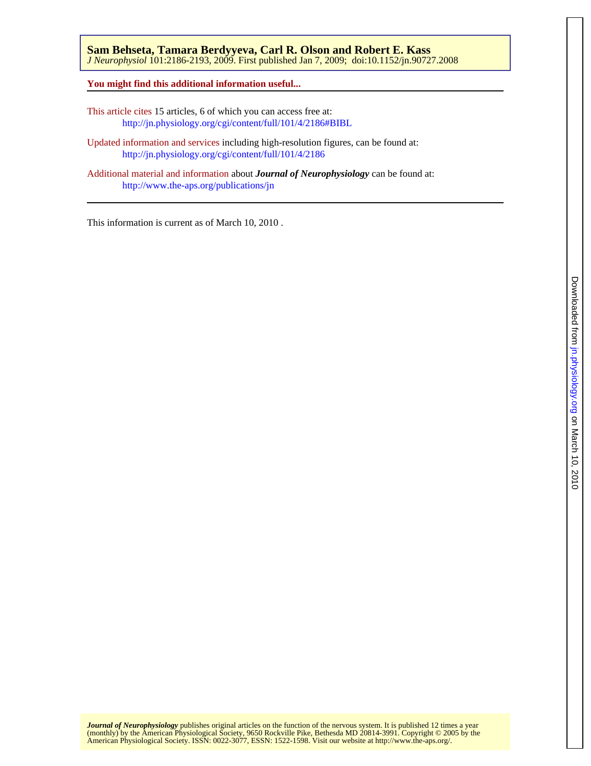**You might find this additional information useful...**

This article cites 15 articles, 6 of which you can access free at: <http://jn.physiology.org/cgi/content/full/101/4/2186#BIBL>

Updated information and services including high-resolution figures, can be found at: <http://jn.physiology.org/cgi/content/full/101/4/2186>

Additional material and information about *Journal of Neurophysiology* can be found at: <http://www.the-aps.org/publications/jn>

This information is current as of March 10, 2010 .

American Physiological Society. ISSN: 0022-3077, ESSN: 1522-1598. Visit our website at [http://www.the-aps.org/.](http://www.the-aps.org/) (monthly) by the American Physiological Society, 9650 Rockville Pike, Bethesda MD 20814-3991. Copyright © 2005 by the *Journal of Neurophysiology* publishes original articles on the function of the nervous system. It is published 12 times a year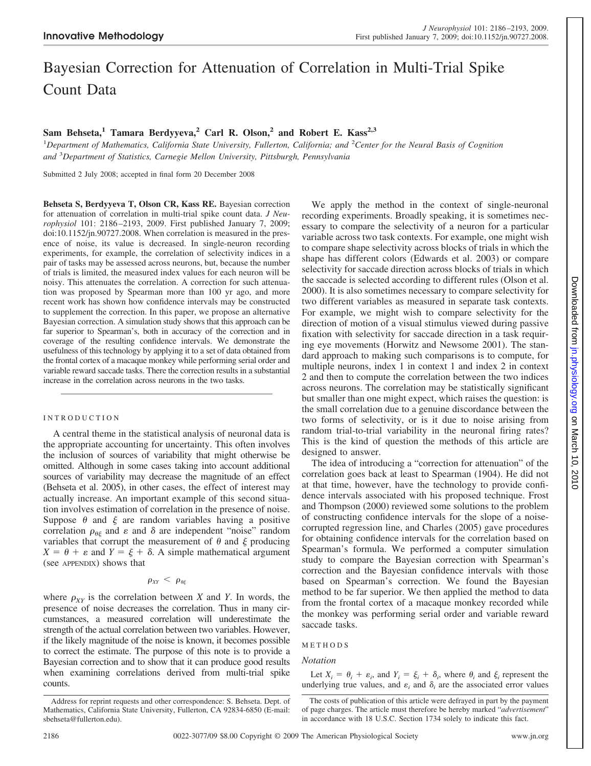# Bayesian Correction for Attenuation of Correlation in Multi-Trial Spike Count Data

## Sam Behseta,<sup>1</sup> Tamara Berdyyeva,<sup>2</sup> Carl R. Olson,<sup>2</sup> and Robert E. Kass<sup>2,3</sup>

<sup>1</sup>Department of Mathematics, California State University, Fullerton, California; and <sup>2</sup>Center for the Neural Basis of Cognition *and* <sup>3</sup> *Department of Statistics, Carnegie Mellon University, Pittsburgh, Pennsylvania*

Submitted 2 July 2008; accepted in final form 20 December 2008

**Behseta S, Berdyyeva T, Olson CR, Kass RE.** Bayesian correction for attenuation of correlation in multi-trial spike count data. *J Neurophysiol* 101: 2186 –2193, 2009. First published January 7, 2009; doi:10.1152/jn.90727.2008. When correlation is measured in the presence of noise, its value is decreased. In single-neuron recording experiments, for example, the correlation of selectivity indices in a pair of tasks may be assessed across neurons, but, because the number of trials is limited, the measured index values for each neuron will be noisy. This attenuates the correlation. A correction for such attenuation was proposed by Spearman more than 100 yr ago, and more recent work has shown how confidence intervals may be constructed to supplement the correction. In this paper, we propose an alternative Bayesian correction. A simulation study shows that this approach can be far superior to Spearman's, both in accuracy of the correction and in coverage of the resulting confidence intervals. We demonstrate the usefulness of this technology by applying it to a set of data obtained from the frontal cortex of a macaque monkey while performing serial order and variable reward saccade tasks. There the correction results in a substantial increase in the correlation across neurons in the two tasks.

## INTRODUCTION

A central theme in the statistical analysis of neuronal data is the appropriate accounting for uncertainty. This often involves the inclusion of sources of variability that might otherwise be omitted. Although in some cases taking into account additional sources of variability may decrease the magnitude of an effect (Behseta et al. 2005), in other cases, the effect of interest may actually increase. An important example of this second situation involves estimation of correlation in the presence of noise. Suppose  $\theta$  and  $\xi$  are random variables having a positive correlation  $\rho_{\theta\xi}$  and  $\varepsilon$  and  $\delta$  are independent "noise" random variables that corrupt the measurement of  $\theta$  and  $\xi$  producing  $X = \theta + \varepsilon$  and  $Y = \xi + \delta$ . A simple mathematical argument (see APPENDIX) shows that

## $\rho_{XY} < \rho_{\theta\xi}$

where  $\rho_{XY}$  is the correlation between *X* and *Y*. In words, the presence of noise decreases the correlation. Thus in many circumstances, a measured correlation will underestimate the strength of the actual correlation between two variables. However, if the likely magnitude of the noise is known, it becomes possible to correct the estimate. The purpose of this note is to provide a Bayesian correction and to show that it can produce good results when examining correlations derived from multi-trial spike counts.

We apply the method in the context of single-neuronal recording experiments. Broadly speaking, it is sometimes necessary to compare the selectivity of a neuron for a particular variable across two task contexts. For example, one might wish to compare shape selectivity across blocks of trials in which the shape has different colors (Edwards et al. 2003) or compare selectivity for saccade direction across blocks of trials in which the saccade is selected according to different rules (Olson et al. 2000). It is also sometimes necessary to compare selectivity for two different variables as measured in separate task contexts. For example, we might wish to compare selectivity for the direction of motion of a visual stimulus viewed during passive fixation with selectivity for saccade direction in a task requiring eye movements (Horwitz and Newsome 2001). The standard approach to making such comparisons is to compute, for multiple neurons, index 1 in context 1 and index 2 in context 2 and then to compute the correlation between the two indices across neurons. The correlation may be statistically significant but smaller than one might expect, which raises the question: is the small correlation due to a genuine discordance between the two forms of selectivity, or is it due to noise arising from random trial-to-trial variability in the neuronal firing rates? This is the kind of question the methods of this article are designed to answer.

The idea of introducing a "correction for attenuation" of the correlation goes back at least to Spearman (1904). He did not at that time, however, have the technology to provide confidence intervals associated with his proposed technique. Frost and Thompson (2000) reviewed some solutions to the problem of constructing confidence intervals for the slope of a noisecorrupted regression line, and Charles (2005) gave procedures for obtaining confidence intervals for the correlation based on Spearman's formula. We performed a computer simulation study to compare the Bayesian correction with Spearman's correction and the Bayesian confidence intervals with those based on Spearman's correction. We found the Bayesian method to be far superior. We then applied the method to data from the frontal cortex of a macaque monkey recorded while the monkey was performing serial order and variable reward saccade tasks.

## METHODS

## *Notation*

Let  $X_i = \theta_i + \varepsilon_i$ , and  $Y_i = \xi_i + \delta_i$ , where  $\theta_i$  and  $\xi_i$  represent the underlying true values, and  $\varepsilon_i$  and  $\delta_i$  are the associated error values

Address for reprint requests and other correspondence: S. Behseta. Dept. of Mathematics, California State University, Fullerton, CA 92834-6850 (E-mail: sbehseta@fullerton.edu).

The costs of publication of this article were defrayed in part by the payment of page charges. The article must therefore be hereby marked "*advertisement*" in accordance with 18 U.S.C. Section 1734 solely to indicate this fact.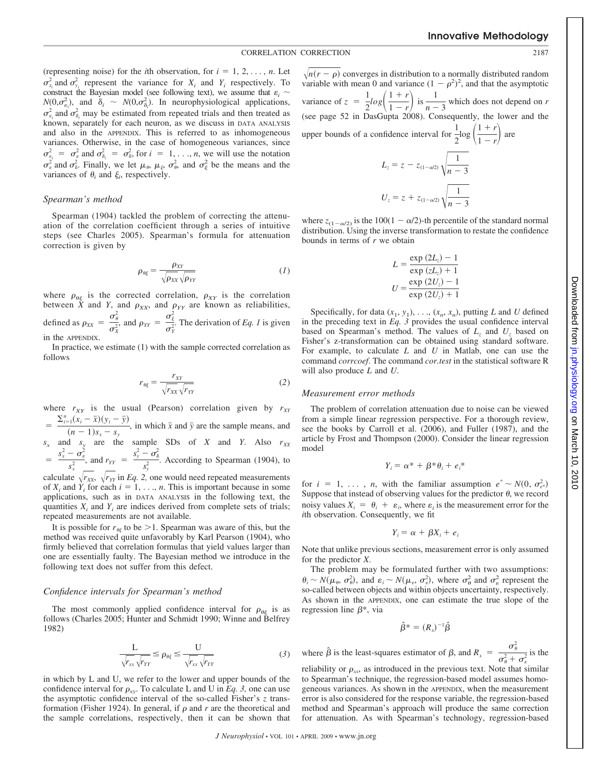(representing noise) for the *i*th observation, for  $i = 1, 2, \ldots, n$ . Let  $\sigma_{x_i}^2$  and  $\sigma_{y_i}^2$  represent the variance for  $X_i$  and  $Y_i$  respectively. To construct the Bayesian model (see following text), we assume that  $\varepsilon_i$  $N(0, \sigma_{\varepsilon_i}^2)$ , and  $\delta_i \sim N(0, \sigma_{\delta_i}^2)$ . In neurophysiological applications,  $\sigma_{\delta_i}^2$  and  $\sigma_{\delta_i}^2$  may be estimated from repeated trials and then treated as known, separately for each neuron, as we discuss in DATA ANALYSIS and also in the APPENDIX. This is referred to as inhomogeneous variances. Otherwise, in the case of homogeneous variances, since  $\sigma_{\varepsilon_i}^2 = \sigma_{\varepsilon}^2$  and  $\sigma_{\delta_i}^2 = \sigma_{\delta}^2$ , for  $i = 1, \ldots, n$ , we will use the notation  $\sigma_{\varepsilon}^2$  and  $\sigma_{\delta}^2$ . Finally, we let  $\mu_{\theta}$ ,  $\mu_{\xi}$ ,  $\sigma_{\theta}^2$ , and  $\sigma_{\xi}^2$  be the means and the variances of  $\theta_i$  and  $\xi_i$ , respectively.

#### *Spearman's method*

Spearman (1904) tackled the problem of correcting the attenuation of the correlation coefficient through a series of intuitive steps (see Charles 2005). Spearman's formula for attenuation correction is given by

$$
\rho_{\theta\xi} = \frac{\rho_{XY}}{\sqrt{\rho_{XX}\sqrt{\rho_{YY}}}}\tag{1}
$$

where  $\rho_{\theta\xi}$  is the corrected correlation,  $\rho_{XY}$  is the correlation between *X* and *Y*, and  $\rho_{XX}$ , and  $\rho_{YY}$  are known as reliabilities, defined as  $\rho_{XX} = \frac{\sigma_{\theta}^2}{r^2}$  $\frac{\sigma_{\theta}^2}{\sigma_X^2}$ , and  $\rho_{YY} = \frac{\sigma_{\xi}^2}{\sigma_Y^2}$  $\frac{\sigma_S^2}{\sigma_Y^2}$ . The derivation of *Eq. 1* is given in the APPENDIX.

In practice, we estimate (1) with the sample corrected correlation as follows

$$
r_{\theta\xi} = \frac{r_{XY}}{\sqrt{r_{XX}}\sqrt{r_{YY}}} \tag{2}
$$

where  $r_{XY}$  is the usual (Pearson) correlation given by  $r_{XY}$  $=\frac{\sum_{i=1}^{n}(x_i-\bar{x})(y_i-\bar{y})}{\bar{x}}$ 

 $\frac{1}{x}$  ( $\frac{1}{x-1}$ ),  $\frac{1}{y}$ , in which  $\bar{x}$  and  $\bar{y}$  are the sample means, and  $s_x$  and  $s_y$  are the sample SDs of *X* and *Y*. Also  $r_{XX}$ 

 $=\frac{s_x^2-\sigma_{\epsilon}^2}{2}$  $\frac{1-\sigma_{\varepsilon}^2}{s_x^2}$ , and  $r_{YY} = \frac{s_y^2-\sigma_{\delta}^2}{s_y^2}$  $\frac{1}{s_y^2}$ . According to Spearman (1904), to

calculate  $\sqrt{r_{XX}}$ ,  $\sqrt{r_{YY}}$  in *Eq. 2*, one would need repeated measurements of  $X_i$  and  $Y_i$  for each  $i = 1, \ldots, n$ . This is important because in some applications, such as in DATA ANALYSIS in the following text, the quantities  $X_i$  and  $Y_i$  are indices derived from complete sets of trials; repeated measurements are not available.

It is possible for  $r_{\theta\xi}$  to be  $>$ 1. Spearman was aware of this, but the method was received quite unfavorably by Karl Pearson (1904), who firmly believed that correlation formulas that yield values larger than one are essentially faulty. The Bayesian method we introduce in the following text does not suffer from this defect.

#### *Confidence intervals for Spearman's method*

The most commonly applied confidence interval for  $\rho_{\theta\xi}$  is as follows (Charles 2005; Hunter and Schmidt 1990; Winne and Belfrey 1982)

$$
\frac{L}{\sqrt{r_{xx}}\sqrt{r_{YY}}} \le \rho_{\theta\xi} \le \frac{U}{\sqrt{r_{xx}}\sqrt{r_{YY}}}
$$
(3)

in which by L and U, we refer to the lower and upper bounds of the confidence interval for  $\rho_{xy}$ . To calculate L and U in *Eq. 3*, one can use the asymptotic confidence interval of the so-called Fisher's *z* transformation (Fisher 1924). In general, if  $\rho$  and  $r$  are the theoretical and the sample correlations, respectively, then it can be shown that

 $\sqrt{n(r - \rho)}$  converges in distribution to a normally distributed random variable with mean 0 and variance  $(1 - \rho^2)^2$ , and that the asymptotic variance of  $z = \frac{1}{2}log\left(\frac{1+r}{1-r}\right)$  $\frac{1+r}{1-r}$  is  $\frac{1}{n-r}$  $\frac{1}{n-3}$  which does not depend on *r* (see page 52 in DasGupta 2008). Consequently, the lower and the upper bounds of a confidence interval for  $\frac{1}{2}$  $\frac{1}{2}\log\left(\frac{1+r}{1-r}\right)$  $\frac{1+r}{1-r}$  are  $L_z = z - z_{(1-\alpha/2)} \sqrt{\frac{1}{n-3}}$ 

$$
V_n - 3
$$
  

$$
U_z = z + z_{(1-\alpha/2)} \sqrt{\frac{1}{n-3}}
$$

where  $z_{(1-\alpha/2)}$  is the 100(1 –  $\alpha/2$ )-th percentile of the standard normal distribution. Using the inverse transformation to restate the confidence bounds in terms of *r* we obtain

$$
L = \frac{\exp(2L_z) - 1}{\exp(zL_z) + 1}
$$

$$
U = \frac{\exp(2U_z) - 1}{\exp(2U_z) + 1}
$$

Specifically, for data  $(x_1, y_1), \ldots, (x_n, x_n)$ , putting *L* and *U* defined in the preceding text in *Eq. 3* provides the usual confidence interval based on Spearman's method. The values of  $L_z$  and  $U_z$  based on Fisher's z-transformation can be obtained using standard software. For example, to calculate *L* and *U* in Matlab, one can use the command *corrcoef*. The command *cor.test* in the statistical software R will also produce *L* and *U*.

#### *Measurement error methods*

The problem of correlation attenuation due to noise can be viewed from a simple linear regression perspective. For a thorough review, see the books by Carroll et al. (2006), and Fuller (1987), and the article by Frost and Thompson (2000). Consider the linear regression model

$$
Y_i = \alpha^* + \beta^* \theta_i + e_i^*
$$

for  $i = 1, \ldots, n$ , with the familiar assumption  $e^* \sim N(0, \sigma_{e^*}^2)$ Suppose that instead of observing values for the predictor  $\theta$ , we record noisy values  $X_i = \theta_i + \varepsilon_i$ , where  $\varepsilon_i$  is the measurement error for the *i*th observation. Consequently, we fit

$$
Y_i = \alpha + \beta X_i + e_i
$$

Note that unlike previous sections, measurement error is only assumed for the predictor *X*.

The problem may be formulated further with two assumptions:  $\theta_i \sim N(\mu_\theta, \sigma_\theta^2)$ , and  $\varepsilon_i \sim N(\mu_\varepsilon, \sigma_\varepsilon^2)$ , where  $\sigma_\theta^2$  and  $\sigma_\varepsilon^2$  represent the so-called between objects and within objects uncertainty, respectively. As shown in the APPENDIX, one can estimate the true slope of the regression line  $\beta^*$ , via

$$
\hat{\beta}^* = (R_x)^{-1} \hat{\beta}
$$

where  $\hat{\beta}$  is the least-squares estimator of  $\beta$ , and  $R_x = \frac{\sigma_{\theta}^2}{r^2}$  $\frac{\sigma_{\theta}^2 + \sigma_{\epsilon}^2}{\sigma_{\theta}^2 + \sigma_{\epsilon}^2}$  is the

reliability or  $\rho_{xx}$ , as introduced in the previous text. Note that similar to Spearman's technique, the regression-based model assumes homogeneous variances. As shown in the APPENDIX, when the measurement error is also considered for the response variable, the regression-based method and Spearman's approach will produce the same correction for attenuation. As with Spearman's technology, regression-based 2010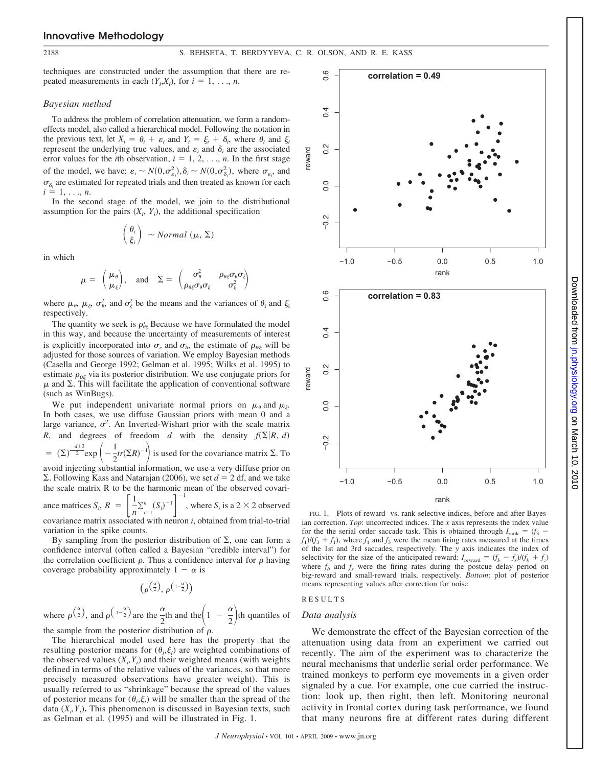### **Innovative Methodology**

techniques are constructed under the assumption that there are repeated measurements in each  $(Y_i, X_i)$ , for  $i = 1, \ldots, n$ .

#### *Bayesian method*

To address the problem of correlation attenuation, we form a randomeffects model, also called a hierarchical model. Following the notation in the previous text, let  $X_i = \theta_i + \varepsilon_i$  and  $Y_i = \xi_i + \delta_i$ , where  $\theta_i$  and  $\xi_i$ represent the underlying true values, and  $\varepsilon_i$  and  $\delta_i$  are the associated error values for the *i*th observation,  $i = 1, 2, \ldots, n$ . In the first stage of the model, we have:  $\varepsilon_i \sim N(0, \sigma_{\varepsilon_i}^2), \delta_i \sim N(0, \sigma_{\delta_i}^2)$ , where  $\sigma_{\varepsilon_i}$ , and  $\sigma_{\delta_i}$  are estimated for repeated trials and then treated as known for each  $i = 1, \ldots, n$ .

In the second stage of the model, we join to the distributional assumption for the pairs  $(X_i, Y_i)$ , the additional specification

$$
\begin{pmatrix} \theta_i \\ \xi_i \end{pmatrix} \sim Normal \ (\mu, \Sigma)
$$

in which

$$
\mu = \begin{pmatrix} \mu_{\theta} \\ \mu_{\xi} \end{pmatrix}, \text{ and } \Sigma = \begin{pmatrix} \sigma_{\theta}^2 & \rho_{\theta\xi}\sigma_{\theta}\sigma_{\xi} \\ \rho_{\theta\xi}\sigma_{\theta}\sigma_{\xi} & \sigma_{\xi}^2 \end{pmatrix}
$$

where  $\mu_{\theta}$ ,  $\mu_{\xi}$ ,  $\sigma_{\theta}^2$ , and  $\sigma_{\xi}^2$  be the means and the variances of  $\theta_i$  and  $\xi_i$ respectively.

The quantity we seek is  $\rho_{\theta\xi}$  Because we have formulated the model in this way, and because the uncertainty of measurements of interest is explicitly incorporated into  $\sigma_{\varepsilon}$  and  $\sigma_{\delta}$ , the estimate of  $\rho_{\theta\xi}$  will be adjusted for those sources of variation. We employ Bayesian methods (Casella and George 1992; Gelman et al. 1995; Wilks et al. 1995) to estimate  $\rho_{\theta\xi}$  via its posterior distribution. We use conjugate priors for  $\mu$  and  $\Sigma$ . This will facilitate the application of conventional software (such as WinBugs).

We put independent univariate normal priors on  $\mu_{\theta}$  and  $\mu_{\xi}$ . In both cases, we use diffuse Gaussian priors with mean 0 and a large variance,  $\sigma^2$ . An Inverted-Wishart prior with the scale matrix *R*, and degrees of freedom *d* with the density  $f(\Sigma | R, d)$  $= (\Sigma)^{\frac{-d+3}{2}} \exp \left(-\frac{1}{2}\right)$  $\left(\frac{1}{2}tr(\Sigma R)^{-1}\right)$  is used for the covariance matrix  $\Sigma$ . To

avoid injecting substantial information, we use a very diffuse prior on  $\Sigma$ . Following Kass and Natarajan (2006), we set  $d = 2$  df, and we take the scale matrix R to be the harmonic mean of the observed covari-

ance matrices  $S_i$ ,  $R = \begin{bmatrix} 1 & 0 \\ 0 & 0 \end{bmatrix}$ 1  $\frac{1}{n} \sum_{i=1}^{n} (S_i)^{-1}$ 1 , where  $S_i$  is a 2  $\times$  2 observed covariance matrix associated with neuron *i*, obtained from trial-to-trial

variation in the spike counts.

By sampling from the posterior distribution of  $\Sigma$ , one can form a confidence interval (often called a Bayesian "credible interval") for the correlation coefficient  $\rho$ . Thus a confidence interval for  $\rho$  having coverage probability approximately  $1 - \alpha$  is

$$
(\rho^{\left(\frac{\alpha}{2}\right)}, \rho^{\left(1-\frac{\alpha}{2}\right)})
$$

where  $\rho^{\left(\frac{\alpha}{2}\right)}$  $\frac{\alpha}{2}$ , and  $\rho\left(\frac{1-\frac{\alpha}{2}}{2}\right)$  are the  $\frac{\alpha}{2}$ th and the  $\left(1 - \frac{\alpha}{2}\right)$  $\left(\frac{\alpha}{2}\right)$ th quantiles of the sample from the posterior distribution of  $\rho$ .

The hierarchical model used here has the property that the resulting posterior means for  $(\theta_i, \xi_i)$  are weighted combinations of the observed values  $(X_i, Y_i)$  and their weighted means (with weights defined in terms of the relative values of the variances, so that more precisely measured observations have greater weight). This is usually referred to as "shrinkage" because the spread of the values of posterior means for  $(\theta_i, \xi_i)$  will be smaller than the spread of the data  $(X_i, Y_i)$ . This phenomenon is discussed in Bayesian texts, such as Gelman et al. (1995) and will be illustrated in Fig. 1.



FIG. 1. Plots of reward- vs. rank-selective indices, before and after Bayesian correction. *Top*: uncorrected indices. The *x* axis represents the index value for the the serial order saccade task. This is obtained through  $I_{\text{rank}} = (f_3 - f_4)$  $f_1$ )/( $f_3 + f_1$ ), where  $f_1$  and  $f_3$  were the mean firing rates measured at the times of the 1st and 3rd saccades, respectively. The *y* axis indicates the index of selectivity for the size of the anticipated reward:  $I_{\text{reward}} = (f_b - f_s)/(f_b + f_z)$ where  $f<sub>b</sub>$  and  $f<sub>s</sub>$  were the firing rates during the postcue delay period on big-reward and small-reward trials, respectively. *Bottom*: plot of posterior means representing values after correction for noise.

## RESULTS

#### *Data analysis*

We demonstrate the effect of the Bayesian correction of the attenuation using data from an experiment we carried out recently. The aim of the experiment was to characterize the neural mechanisms that underlie serial order performance. We trained monkeys to perform eye movements in a given order signaled by a cue. For example, one cue carried the instruction: look up, then right, then left. Monitoring neuronal activity in frontal cortex during task performance, we found that many neurons fire at different rates during different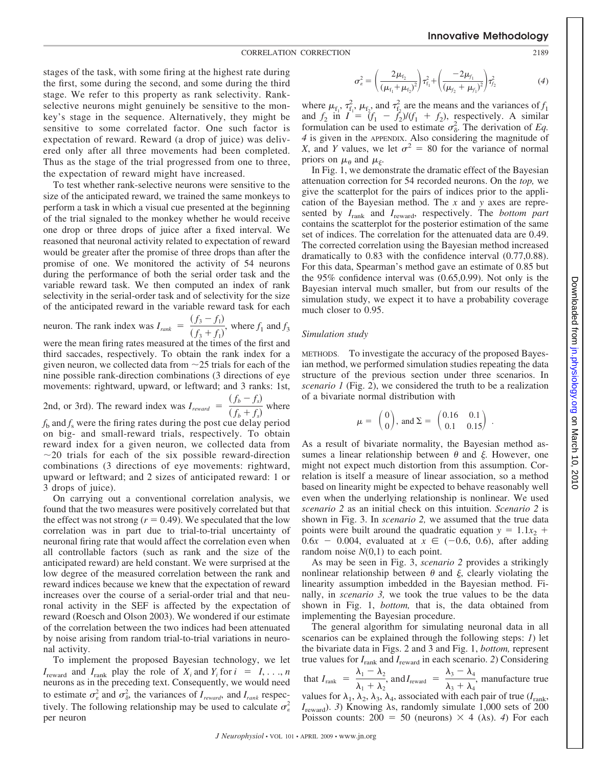#### CORRELATION CORRECTION 2189

stages of the task, with some firing at the highest rate during the first, some during the second, and some during the third stage. We refer to this property as rank selectivity. Rankselective neurons might genuinely be sensitive to the monkey's stage in the sequence. Alternatively, they might be sensitive to some correlated factor. One such factor is expectation of reward. Reward (a drop of juice) was delivered only after all three movements had been completed. Thus as the stage of the trial progressed from one to three, the expectation of reward might have increased.

To test whether rank-selective neurons were sensitive to the size of the anticipated reward, we trained the same monkeys to perform a task in which a visual cue presented at the beginning of the trial signaled to the monkey whether he would receive one drop or three drops of juice after a fixed interval. We reasoned that neuronal activity related to expectation of reward would be greater after the promise of three drops than after the promise of one. We monitored the activity of 54 neurons during the performance of both the serial order task and the variable reward task. We then computed an index of rank selectivity in the serial-order task and of selectivity for the size of the anticipated reward in the variable reward task for each

neuron. The rank index was 
$$
I_{rank} = \frac{(f_3 - f_1)}{(f_3 + f_1)}
$$
, where  $f_1$  and  $f_3$ 

were the mean firing rates measured at the times of the first and third saccades, respectively. To obtain the rank index for a given neuron, we collected data from  $\sim$  25 trials for each of the nine possible rank-direction combinations (3 directions of eye movements: rightward, upward, or leftward; and 3 ranks: 1st,

2nd, or 3rd). The reward index was 
$$
I_{reward} = \frac{(f_b - f_s)}{(f_b + f_s)}
$$
 where

 $f<sub>b</sub>$  and  $f<sub>s</sub>$  were the firing rates during the post cue delay period on big- and small-reward trials, respectively. To obtain reward index for a given neuron, we collected data from  $\sim$ 20 trials for each of the six possible reward-direction combinations (3 directions of eye movements: rightward, upward or leftward; and 2 sizes of anticipated reward: 1 or 3 drops of juice).

On carrying out a conventional correlation analysis, we found that the two measures were positively correlated but that the effect was not strong  $(r = 0.49)$ . We speculated that the low correlation was in part due to trial-to-trial uncertainty of neuronal firing rate that would affect the correlation even when all controllable factors (such as rank and the size of the anticipated reward) are held constant. We were surprised at the low degree of the measured correlation between the rank and reward indices because we knew that the expectation of reward increases over the course of a serial-order trial and that neuronal activity in the SEF is affected by the expectation of reward (Roesch and Olson 2003). We wondered if our estimate of the correlation between the two indices had been attenuated by noise arising from random trial-to-trial variations in neuronal activity.

To implement the proposed Bayesian technology, we let  $I_{\text{reward}}$  and  $I_{\text{rank}}$  play the role of  $X_i$  and  $Y_i$  for  $i = 1, \ldots, n$ neurons as in the preceding text. Consequently, we would need to estimate  $\sigma_{\varepsilon}^2$  and  $\sigma_{\delta}^2$ , the variances of  $I_{reward}$ , and  $I_{rank}$  respectively. The following relationship may be used to calculate  $\sigma_{\varepsilon}^2$ per neuron

$$
\sigma_{\varepsilon}^{2} = \left(\frac{2\mu_{f_2}}{(\mu_{f_1} + \mu_{f_2})^{2}}\right) \tau_{f_1}^{2} + \left(\frac{-2\mu_{f_1}}{(\mu_{f_2} + \mu_{f_1})^{2}}\right) \tau_{f_2}^{2}
$$
(4)

where  $\mu_{f_1}, \tau_{f_1}, \mu_{f_2}$  and  $\tau_{f_2}^2$  are the means and the variances of  $f_1$ and  $f_2$  in  $I = (f_1 - f_2)/(f_1 + f_2)$ , respectively. A similar formulation can be used to estimate  $\sigma_{\delta}^2$ . The derivation of *Eq. 4* is given in the APPENDIX. Also considering the magnitude of *X*, and *Y* values, we let  $\sigma^2 = 80$  for the variance of normal priors on  $\mu_{\theta}$  and  $\mu_{\xi}$ .

In Fig. 1, we demonstrate the dramatic effect of the Bayesian attenuation correction for 54 recorded neurons. On the *top,* we give the scatterplot for the pairs of indices prior to the application of the Bayesian method. The *x* and *y* axes are represented by *I*rank and *I*reward, respectively. The *bottom part* contains the scatterplot for the posterior estimation of the same set of indices. The correlation for the attenuated data are 0.49. The corrected correlation using the Bayesian method increased dramatically to 0.83 with the confidence interval (0.77,0.88). For this data, Spearman's method gave an estimate of 0.85 but the 95% confidence interval was (0.65,0.99). Not only is the Bayesian interval much smaller, but from our results of the simulation study, we expect it to have a probability coverage much closer to 0.95.

## *Simulation study*

METHODS. To investigate the accuracy of the proposed Bayesian method, we performed simulation studies repeating the data structure of the previous section under three scenarios. In *scenario 1* (Fig. 2), we considered the truth to be a realization of a bivariate normal distribution with

$$
\mu = \begin{pmatrix} 0 \\ 0 \end{pmatrix}
$$
, and  $\Sigma = \begin{pmatrix} 0.16 & 0.1 \\ 0.1 & 0.15 \end{pmatrix}$ .

As a result of bivariate normality, the Bayesian method assumes a linear relationship between  $\theta$  and  $\xi$ . However, one might not expect much distortion from this assumption. Correlation is itself a measure of linear association, so a method based on linearity might be expected to behave reasonably well even when the underlying relationship is nonlinear. We used *scenario 2* as an initial check on this intuition. *Scenario 2* is shown in Fig. 3. In *scenario 2,* we assumed that the true data points were built around the quadratic equation  $y = 1.1x_2 +$  $0.6x - 0.004$ , evaluated at  $x \in (-0.6, 0.6)$ , after adding random noise  $N(0,1)$  to each point.

As may be seen in Fig. 3, *scenario 2* provides a strikingly nonlinear relationship between  $\theta$  and  $\xi$ , clearly violating the linearity assumption imbedded in the Bayesian method. Finally, in *scenario 3,* we took the true values to be the data shown in Fig. 1, *bottom,* that is, the data obtained from implementing the Bayesian procedure.

The general algorithm for simulating neuronal data in all scenarios can be explained through the following steps: *1*) let the bivariate data in Figs. 2 and 3 and Fig. 1, *bottom,* represent true values for  $I_{\text{rank}}$  and  $I_{\text{reward}}$  in each scenario. 2) Considering that  $I_{\text{rank}} = \frac{\lambda_1 - \lambda_2}{\lambda_1 - \lambda_2}$  $\frac{\lambda_1 - \lambda_2}{\lambda_1 + \lambda_2}$ , and  $I_{\text{reward}} = \frac{\lambda_3 - \lambda_4}{\lambda_3 + \lambda_4}$  $\frac{\overline{\lambda_3} + \overline{\lambda_4}}{\lambda_3 + \lambda_4}$ , manufacture true values for  $\lambda_1$ ,  $\lambda_2$ ,  $\lambda_3$ ,  $\lambda_4$ , associated with each pair of true ( $I_{\text{rank}}$ ,  $I_{\text{reward}}$ . *3*) Knowing  $\lambda$ s, randomly simulate 1,000 sets of 200 Poisson counts:  $200 = 50$  (neurons)  $\times$  4 ( $\lambda$ s). *4*) For each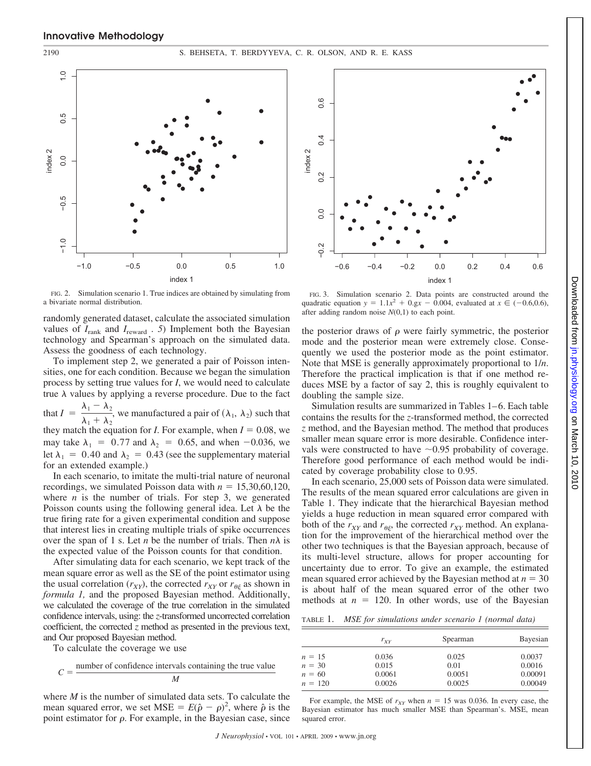#### 2190 S. BEHSETA, T. BERDYYEVA, C. R. OLSON, AND R. E. KASS



FIG. 2. Simulation scenario 1. True indices are obtained by simulating from a bivariate normal distribution.

randomly generated dataset, calculate the associated simulation values of *I*rank and *I*reward . *5*) Implement both the Bayesian technology and Spearman's approach on the simulated data. Assess the goodness of each technology.

To implement step 2, we generated a pair of Poisson intensities, one for each condition. Because we began the simulation process by setting true values for *I*, we would need to calculate true  $\lambda$  values by applying a reverse procedure. Due to the fact that  $I = \frac{\lambda_1 - \lambda_2}{\lambda_1 - \lambda_2}$  $\frac{1}{\lambda_1 + \lambda_2}$ , we manufactured a pair of  $(\lambda_1, \lambda_2)$  such that they match the equation for *I*. For example, when  $I = 0.08$ , we may take  $\lambda_1 = 0.77$  and  $\lambda_2 = 0.65$ , and when -0.036, we let  $\lambda_1 = 0.40$  and  $\lambda_2 = 0.43$  (see the supplementary material

In each scenario, to imitate the multi-trial nature of neuronal recordings, we simulated Poisson data with  $n = 15,30,60,120$ , where  $n$  is the number of trials. For step 3, we generated Poisson counts using the following general idea. Let  $\lambda$  be the true firing rate for a given experimental condition and suppose that interest lies in creating multiple trials of spike occurrences over the span of 1 s. Let *n* be the number of trials. Then  $n\lambda$  is the expected value of the Poisson counts for that condition.

After simulating data for each scenario, we kept track of the mean square error as well as the SE of the point estimator using the usual correlation  $(r_{XY})$ , the corrected  $r_{XY}$  or  $r_{\theta\xi}$  as shown in *formula 1,* and the proposed Bayesian method. Additionally, we calculated the coverage of the true correlation in the simulated confidence intervals, using: the *z*-transformed uncorrected correlation coefficient, the corrected *z* method as presented in the previous text, and Our proposed Bayesian method.

To calculate the coverage we use

for an extended example.)

$$
C = \frac{\text{number of confidence intervals containing the true value}}{M}
$$

where *M* is the number of simulated data sets. To calculate the mean squared error, we set MSE =  $E(\hat{\rho} - \rho)^2$ , where  $\hat{\rho}$  is the point estimator for  $\rho$ . For example, in the Bayesian case, since



FIG. 3. Simulation scenario 2. Data points are constructed around the quadratic equation  $y = 1.1x^2 + 0.9x - 0.004$ , evaluated at  $x \in (-0.6, 0.6)$ , after adding random noise *N*(0,1) to each point.

the posterior draws of  $\rho$  were fairly symmetric, the posterior mode and the posterior mean were extremely close. Consequently we used the posterior mode as the point estimator. Note that MSE is generally approximately proportional to 1/*n*. Therefore the practical implication is that if one method reduces MSE by a factor of say 2, this is roughly equivalent to doubling the sample size.

Simulation results are summarized in Tables 1–6. Each table contains the results for the *z*-transformed method, the corrected *z* method, and the Bayesian method. The method that produces smaller mean square error is more desirable. Confidence intervals were constructed to have  $\sim 0.95$  probability of coverage. Therefore good performance of each method would be indicated by coverage probability close to 0.95.

In each scenario, 25,000 sets of Poisson data were simulated. The results of the mean squared error calculations are given in Table 1. They indicate that the hierarchical Bayesian method yields a huge reduction in mean squared error compared with both of the  $r_{XY}$  and  $r_{\theta\xi}$ , the corrected  $r_{XY}$  method. An explanation for the improvement of the hierarchical method over the other two techniques is that the Bayesian approach, because of its multi-level structure, allows for proper accounting for uncertainty due to error. To give an example, the estimated mean squared error achieved by the Bayesian method at  $n = 30$ is about half of the mean squared error of the other two methods at  $n = 120$ . In other words, use of the Bayesian

TABLE 1. *MSE for simulations under scenario 1 (normal data)*

|           | $r_{XY}$ | Spearman | <b>Bayesian</b> |
|-----------|----------|----------|-----------------|
| $n = 15$  | 0.036    | 0.025    | 0.0037          |
| $n = 30$  | 0.015    | 0.01     | 0.0016          |
| $n = 60$  | 0.0061   | 0.0051   | 0.00091         |
| $n = 120$ | 0.0026   | 0.0025   | 0.00049         |

For example, the MSE of  $r_{XY}$  when  $n = 15$  was 0.036. In every case, the Bayesian estimator has much smaller MSE than Spearman's. MSE, mean squared error.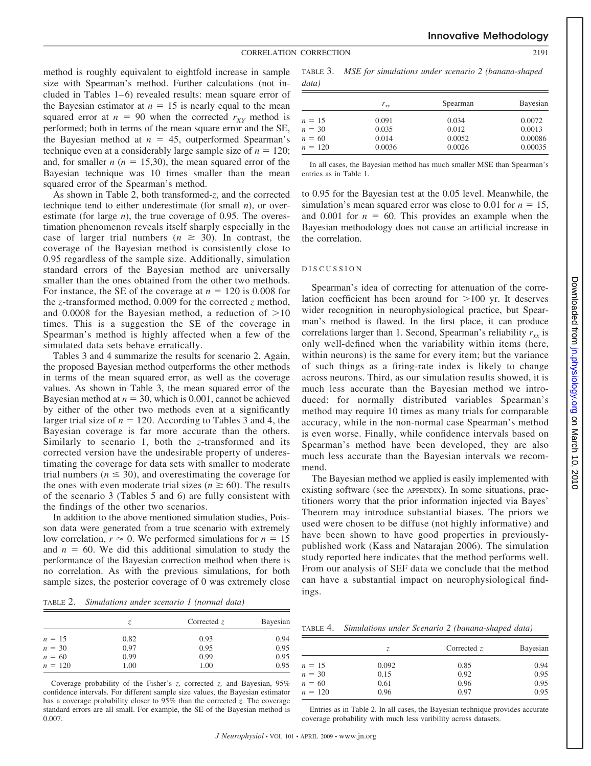method is roughly equivalent to eightfold increase in sample size with Spearman's method. Further calculations (not included in Tables  $1-6$ ) revealed results: mean square error of the Bayesian estimator at  $n = 15$  is nearly equal to the mean squared error at  $n = 90$  when the corrected  $r_{XY}$  method is performed; both in terms of the mean square error and the SE, the Bayesian method at  $n = 45$ , outperformed Spearman's technique even at a considerably large sample size of  $n = 120$ ; and, for smaller  $n (n = 15,30)$ , the mean squared error of the Bayesian technique was 10 times smaller than the mean squared error of the Spearman's method.

As shown in Table 2, both transformed-*z*, and the corrected technique tend to either underestimate (for small *n*), or overestimate (for large *n*), the true coverage of 0.95. The overestimation phenomenon reveals itself sharply especially in the case of larger trial numbers ( $n \geq 30$ ). In contrast, the coverage of the Bayesian method is consistently close to 0.95 regardless of the sample size. Additionally, simulation standard errors of the Bayesian method are universally smaller than the ones obtained from the other two methods. For instance, the SE of the coverage at  $n = 120$  is 0.008 for the *z*-transformed method, 0.009 for the corrected *z* method, and  $0.0008$  for the Bayesian method, a reduction of  $>10$ times. This is a suggestion the SE of the coverage in Spearman's method is highly affected when a few of the simulated data sets behave erratically.

Tables 3 and 4 summarize the results for scenario 2. Again, the proposed Bayesian method outperforms the other methods in terms of the mean squared error, as well as the coverage values. As shown in Table 3, the mean squared error of the Bayesian method at  $n = 30$ , which is 0.001, cannot be achieved by either of the other two methods even at a significantly larger trial size of  $n = 120$ . According to Tables 3 and 4, the Bayesian coverage is far more accurate than the others. Similarly to scenario 1, both the *z*-transformed and its corrected version have the undesirable property of underestimating the coverage for data sets with smaller to moderate trial numbers ( $n \leq 30$ ), and overestimating the coverage for the ones with even moderate trial sizes ( $n \ge 60$ ). The results of the scenario 3 (Tables 5 and 6) are fully consistent with the findings of the other two scenarios.

In addition to the above mentioned simulation studies, Poisson data were generated from a true scenario with extremely low correlation,  $r \approx 0$ . We performed simulations for  $n = 15$ and  $n = 60$ . We did this additional simulation to study the performance of the Bayesian correction method when there is no correlation. As with the previous simulations, for both sample sizes, the posterior coverage of 0 was extremely close

TABLE 2. *Simulations under scenario 1 (normal data)*

|           | Z.   | Corrected $z$ | Bayesian |
|-----------|------|---------------|----------|
| $n = 15$  | 0.82 | 0.93          | 0.94     |
| $n = 30$  | 0.97 | 0.95          | 0.95     |
| $n = 60$  | 0.99 | 0.99          | 0.95     |
| $n = 120$ | 1.00 | 1.00          | 0.95     |

Coverage probability of the Fisher's *z,* corrected *z,* and Bayesian, 95% confidence intervals. For different sample size values, the Bayesian estimator has a coverage probability closer to 95% than the corrected *z*. The coverage standard errors are all small. For example, the SE of the Bayesian method is 0.007.

TABLE 3. *MSE for simulations under scenario 2 (banana-shaped data)*

|           | $r_{xy}$ | Spearman | Bayesian |
|-----------|----------|----------|----------|
| $n = 15$  | 0.091    | 0.034    | 0.0072   |
| $n = 30$  | 0.035    | 0.012    | 0.0013   |
| $n = 60$  | 0.014    | 0.0052   | 0.00086  |
| $n = 120$ | 0.0036   | 0.0026   | 0.00035  |

In all cases, the Bayesian method has much smaller MSE than Spearman's entries as in Table 1.

to 0.95 for the Bayesian test at the 0.05 level. Meanwhile, the simulation's mean squared error was close to 0.01 for  $n = 15$ , and 0.001 for  $n = 60$ . This provides an example when the Bayesian methodology does not cause an artificial increase in the correlation.

#### DISCUSSION

Spearman's idea of correcting for attenuation of the correlation coefficient has been around for  $>100$  yr. It deserves wider recognition in neurophysiological practice, but Spearman's method is flawed. In the first place, it can produce correlations larger than 1. Second, Spearman's reliability  $r_{xx}$  is only well-defined when the variability within items (here, within neurons) is the same for every item; but the variance of such things as a firing-rate index is likely to change across neurons. Third, as our simulation results showed, it is much less accurate than the Bayesian method we introduced: for normally distributed variables Spearman's method may require 10 times as many trials for comparable accuracy, while in the non-normal case Spearman's method is even worse. Finally, while confidence intervals based on Spearman's method have been developed, they are also much less accurate than the Bayesian intervals we recommend.

The Bayesian method we applied is easily implemented with existing software (see the APPENDIX). In some situations, practitioners worry that the prior information injected via Bayes' Theorem may introduce substantial biases. The priors we used were chosen to be diffuse (not highly informative) and have been shown to have good properties in previouslypublished work (Kass and Natarajan 2006). The simulation study reported here indicates that the method performs well. From our analysis of SEF data we conclude that the method can have a substantial impact on neurophysiological findings.

| table 4. |  |  |  |  | Simulations under Scenario 2 (banana-shaped data) |  |
|----------|--|--|--|--|---------------------------------------------------|--|
|----------|--|--|--|--|---------------------------------------------------|--|

|           | Z.    | Corrected $z$ | Bayesian |
|-----------|-------|---------------|----------|
| $n = 15$  | 0.092 | 0.85          | 0.94     |
| $n = 30$  | 0.15  | 0.92          | 0.95     |
| $n = 60$  | 0.61  | 0.96          | 0.95     |
| $n = 120$ | 0.96  | 0.97          | 0.95     |

Downloaded from jn.physiology.org on March 10 Downloadedfrom [jn.physiology.org](http://jn.physiology.org) on March 10, 2010 2010

| Entries as in Table 2. In all cases, the Bayesian technique provides accurate |  |
|-------------------------------------------------------------------------------|--|
| coverage probability with much less varibility across datasets.               |  |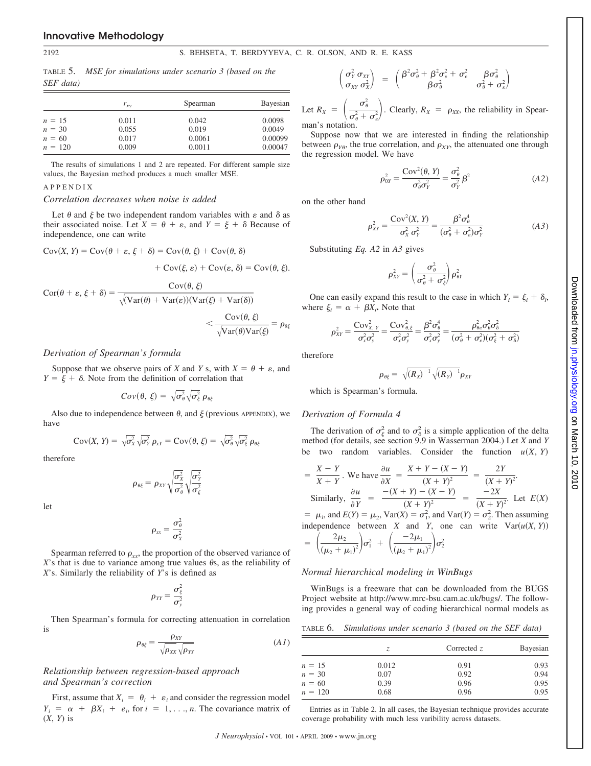#### 2192 S. BEHSETA, T. BERDYYEVA, C. R. OLSON, AND R. E. KASS

TABLE 5. *MSE for simulations under scenario 3 (based on the SEF data)*

|           | $r_{xy}$ | Spearman | Bayesian |  |  |
|-----------|----------|----------|----------|--|--|
| $n = 15$  | 0.011    | 0.042    | 0.0098   |  |  |
| $n = 30$  | 0.055    | 0.019    | 0.0049   |  |  |
| $n = 60$  | 0.017    | 0.0061   | 0.00099  |  |  |
| $n = 120$ | 0.009    | 0.0011   | 0.00047  |  |  |

The results of simulations 1 and 2 are repeated. For different sample size values, the Bayesian method produces a much smaller MSE.

#### APPENDIX

#### *Correlation decreases when noise is added*

Let  $\theta$  and  $\xi$  be two independent random variables with  $\varepsilon$  and  $\delta$  as their associated noise. Let  $X = \theta + \varepsilon$ , and  $Y = \xi + \delta$  Because of independence, one can write

$$
Cov(X, Y) = Cov(\theta + \varepsilon, \xi + \delta) = Cov(\theta, \xi) + Cov(\theta, \delta)
$$

$$
+ Cov(\xi, \varepsilon) + Cov(\varepsilon, \delta) = Cov(\theta, \xi).
$$

$$
Cor(\theta + \varepsilon, \xi + \delta) = \frac{Cov(\theta, \xi)}{\sqrt{(Var(\theta) + Var(\varepsilon)) (Var(\xi) + Var(\delta))}}
$$
  

$$
< \frac{Cov(\theta, \xi)}{\sqrt{Var(\theta) Var(\xi)}} = \rho_{\theta\xi}
$$

## *Derivation of Spearman's formula*

Suppose that we observe pairs of *X* and *Y* s, with  $X = \theta + \epsilon$ , and  $Y = \xi + \delta$ . Note from the definition of correlation that

$$
Cov(\theta, \xi) = \sqrt{\sigma_{\theta}^2} \sqrt{\sigma_{\xi}^2} \rho_{\theta\xi}
$$

Also due to independence between  $\theta$ , and  $\xi$  (previous APPENDIX), we have

$$
Cov(X, Y) = \sqrt{\sigma_X^2} \sqrt{\sigma_Y^2} \rho_{XY} = Cov(\theta, \xi) = \sqrt{\sigma_\theta^2} \sqrt{\sigma_\xi^2} \rho_{\theta\xi}
$$

therefore

$$
\rho_{\theta\xi} = \rho_{XY} \sqrt{\frac{\sigma_X^2}{\sigma_\theta^2}} \sqrt{\frac{\sigma_Y^2}{\sigma_\xi^2}}
$$

let

$$
\rho_{xx} = \frac{\sigma_{\theta}^2}{\sigma_{X}^2}
$$

Spearman referred to  $\rho_{xx}$ , the proportion of the observed variance of  $X$ 's that is due to variance among true values  $\theta$ s, as the reliability of *X*'s. Similarly the reliability of *Y*'s is defined as

$$
\rho_{YY}=\frac{\sigma_{\xi}^2}{\sigma_{y}^2}
$$

Then Spearman's formula for correcting attenuation in correlation is

$$
\rho_{\theta\xi} = \frac{\rho_{XY}}{\sqrt{\rho_{XX}}\sqrt{\rho_{YY}}} \tag{A1}
$$

## *Relationship between regression-based approach and Spearman's correction*

First, assume that  $X_i = \theta_i + \varepsilon_i$  and consider the regression model  $Y_i = \alpha + \beta X_i + e_i$ , for  $i = 1, \ldots, n$ . The covariance matrix of (*X*, *Y*) is

$$
\begin{pmatrix}\n\sigma_Y^2 & \sigma_{XY} \\
\sigma_{XY} & \sigma_X^2\n\end{pmatrix} = \begin{pmatrix}\n\beta^2 \sigma_\theta^2 + \beta^2 \sigma_\epsilon^2 + \sigma_\epsilon^2 & \beta \sigma_\theta^2 \\
\beta \sigma_\theta^2 & \sigma_\theta^2 + \sigma_\epsilon^2\n\end{pmatrix}
$$

Let  $R_X = \left(\frac{\sigma_\theta^2}{\sigma_\theta^2 + 1}\right)$  $\left(\frac{\sigma_{\theta}^2}{\sigma_{\theta}^2 + \sigma_{\epsilon}^2}\right)$ . Clearly,  $R_X = \rho_{XX}$ , the reliability in Spearman's notation.

Suppose now that we are interested in finding the relationship between  $\rho_{Y\theta}$ , the true correlation, and  $\rho_{XY}$ , the attenuated one through the regression model. We have

$$
\rho_{0Y}^2 = \frac{\text{Cov}^2(\theta, Y)}{\sigma_\theta^2 \sigma_Y^2} = \frac{\sigma_\theta^2}{\sigma_Y^2} \beta^2 \tag{A2}
$$

on the other hand

$$
\rho_{XY}^2 = \frac{\text{Cov}^2(X, Y)}{\sigma_X^2 \sigma_Y^2} = \frac{\beta^2 \sigma_\theta^4}{(\sigma_\theta^2 + \sigma_\epsilon^2) \sigma_Y^2}
$$
(A3)

Substituting *Eq. A2* in *A3* gives

$$
\rho_{XY}^2 = \left(\frac{\sigma_{\theta}^2}{\sigma_{\theta}^2 + \sigma_{\xi}^2}\right) \rho_{\theta Y}^2
$$

One can easily expand this result to the case in which  $Y_i = \xi_i + \delta_i$ , where  $\xi_i = \alpha + \beta X_i$ . Note that

$$
\rho_{XY}^2 = \frac{\text{Cov}_{X,Y}^2}{\sigma_x^2 \sigma_y^2} = \frac{\text{Cov}_{\theta,\xi}^2}{\sigma_x^2 \sigma_y^2} = \frac{\beta^2 \sigma_{\theta}^4}{\sigma_x^2 \sigma_y^2} = \frac{\rho_{\theta \varepsilon}^2 \sigma_{\theta}^2 \sigma_{\delta}^2}{(\sigma_{\theta}^2 + \sigma_{\varepsilon}^2)(\sigma_{\xi}^2 + \sigma_{\delta}^2)}
$$

therefore

$$
\rho_{\theta\xi} = \sqrt{(R_X)^{-1}} \sqrt{(R_Y)^{-1}} \rho_{XY}
$$

which is Spearman's formula.

#### *Derivation of Formula 4*

The derivation of  $\sigma_{\xi}^2$  and to  $\sigma_{\delta}^2$  is a simple application of the delta method (for details, see section 9.9 in Wasserman 2004.) Let *X* and *Y* two random variables. Consider the function  $u(X, Y)$ 

$$
\frac{X-Y}{X+Y}.
$$
 We have  $\frac{\partial u}{\partial X} = \frac{X+Y-(X-Y)}{(X+Y)^2} = \frac{2Y}{(X+Y)^2}.$   
\nSimilarly,  $\frac{\partial u}{\partial Y} = \frac{-(X+Y)-(X-Y)}{(X+Y)^2} = \frac{-2X}{(X+Y)^2}.$  Let  $E(X)$   
\n $= \mu_i$ , and  $E(Y) = \mu_2$ ,  $Var(X) = \sigma_1^2$ , and  $Var(Y) = \sigma_2^2$ . Then assuming  
\nindependence between X and Y, one can write  $Var(u(X, Y))$   
\n $= \left(\frac{2\mu_2}{(\mu_2 + \mu_1)^2}\right)\sigma_1^2 + \left(\frac{-2\mu_1}{(\mu_2 + \mu_1)^2}\right)\sigma_2^2$ 

$$
((\mu_2 + \mu_1)^2)^{2} \sqrt{( \mu_2 + \mu_1)^2}^2
$$

#### *Normal hierarchical modeling in WinBugs*

WinBugs is a freeware that can be downloaded from the BUGS Project website at http://www.mrc-bsu.cam.ac.uk/bugs/. The following provides a general way of coding hierarchical normal models as

| TABLE 6. | . Simulations under scenario 3 (based on the SEF data) |  |  |  |  |  |  |  |  |  |
|----------|--------------------------------------------------------|--|--|--|--|--|--|--|--|--|
|----------|--------------------------------------------------------|--|--|--|--|--|--|--|--|--|

|           | Z.    | Corrected $z$ | Bayesian |
|-----------|-------|---------------|----------|
| $n = 15$  | 0.012 | 0.91          | 0.93     |
| $n = 30$  | 0.07  | 0.92          | 0.94     |
| $n = 60$  | 0.39  | 0.96          | 0.95     |
| $n = 120$ | 0.68  | 0.96          | 0.95     |

Entries as in Table 2. In all cases, the Bayesian technique provides accurate coverage probability with much less varibility across datasets.